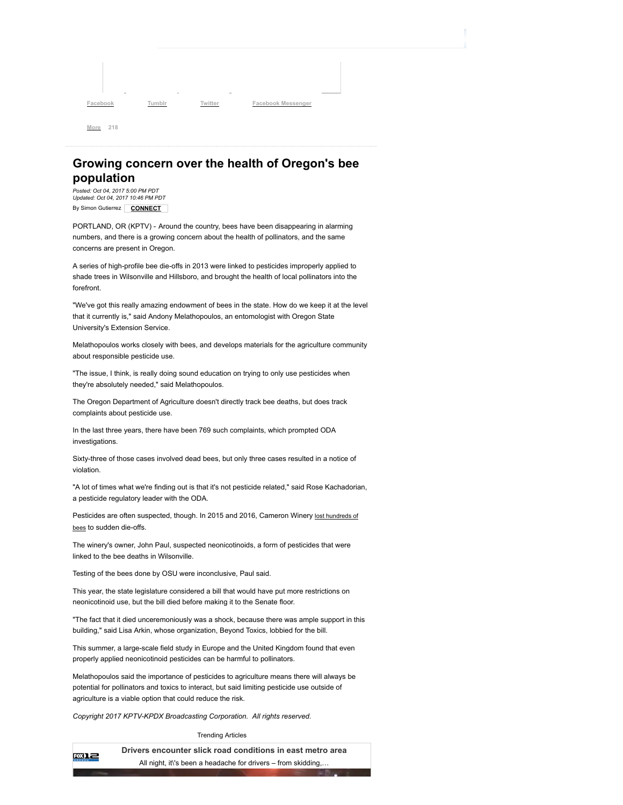**Cacabook Tumbler Twitter Facebook Messenger** 

## Growing concern over the health of Oregon's bee population

By Simon Gutierrez | **CONNECT** Posted: Oct 04, 2017 5:00 PM PDT Updated: Oct 04, 2017 10:46 PM PDT

More 218

PORTLAND, OR (KPTV) - Around the country, bees have been disappearing in alarming numbers, and there is a growing concern about the health of pollinators, and the same concerns are present in Oregon.

A series of high-profile bee die-offs in 2013 were linked to pesticides improperly applied to shade trees in Wilsonville and Hillsboro, and brought the health of local pollinators into the forefront.

"We've got this really amazing endowment of bees in the state. How do we keep it at the level that it currently is," said Andony Melathopoulos, an entomologist with Oregon State University's Extension Service.

Melathopoulos works closely with bees, and develops materials for the agriculture community about responsible pesticide use.

"The issue, I think, is really doing sound education on trying to only use pesticides when they're absolutely needed," said Melathopoulos.

The Oregon Department of Agriculture doesn't directly track bee deaths, but does track complaints about pesticide use.

In the last three years, there have been 769 such complaints, which prompted ODA investigations.

Sixty-three of those cases involved dead bees, but only three cases resulted in a notice of violation.

"A lot of times what we're finding out is that it's not pesticide related," said Rose Kachadorian, a pesticide regulatory leader with the ODA.

Pesticides are often suspected, though. In 2015 and 2016, Cameron Winery [lost hundreds of](http://www.kptv.com/story/31719780/dundee-winery-again-seeing-bee-die-off) bees to sudden die-offs.

The winery's owner, John Paul, suspected neonicotinoids, a form of pesticides that were linked to the bee deaths in Wilsonville.

Testing of the bees done by OSU were inconclusive, Paul said.

This year, the state legislature considered a bill that would have put more restrictions on neonicotinoid use, but the bill died before making it to the Senate floor.

"The fact that it died unceremoniously was a shock, because there was ample support in this building," said Lisa Arkin, whose organization, Beyond Toxics, lobbied for the bill.

This summer, a large-scale field study in Europe and the United Kingdom found that even properly applied neonicotinoid pesticides can be harmful to pollinators.

Melathopoulos said the importance of pesticides to agriculture means there will always be potential for pollinators and toxics to interact, but said limiting pesticide use outside of agriculture is a viable option that could reduce the risk.

Copyright 2017 KPTV-KPDX Broadcasting Corporation. All rights reserved.

Trending Articles

Drivers encounter slick road conditions in east metro area 國上 All night, it\'s been a headache for drivers – from skidding,…